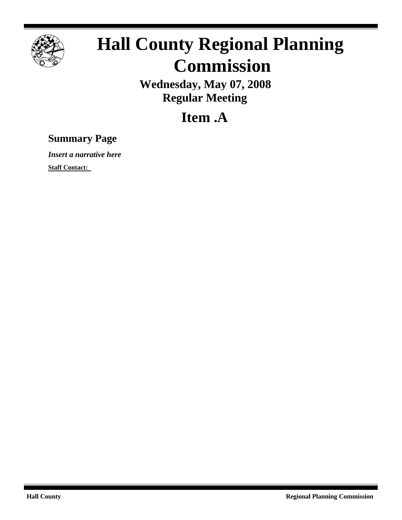

## **Hall County Regional Planning Commission**

**Wednesday, May 07, 2008 Regular Meeting**

**Item .A**

## **Summary Page**

*Insert a narrative here*

**Staff Contact:**